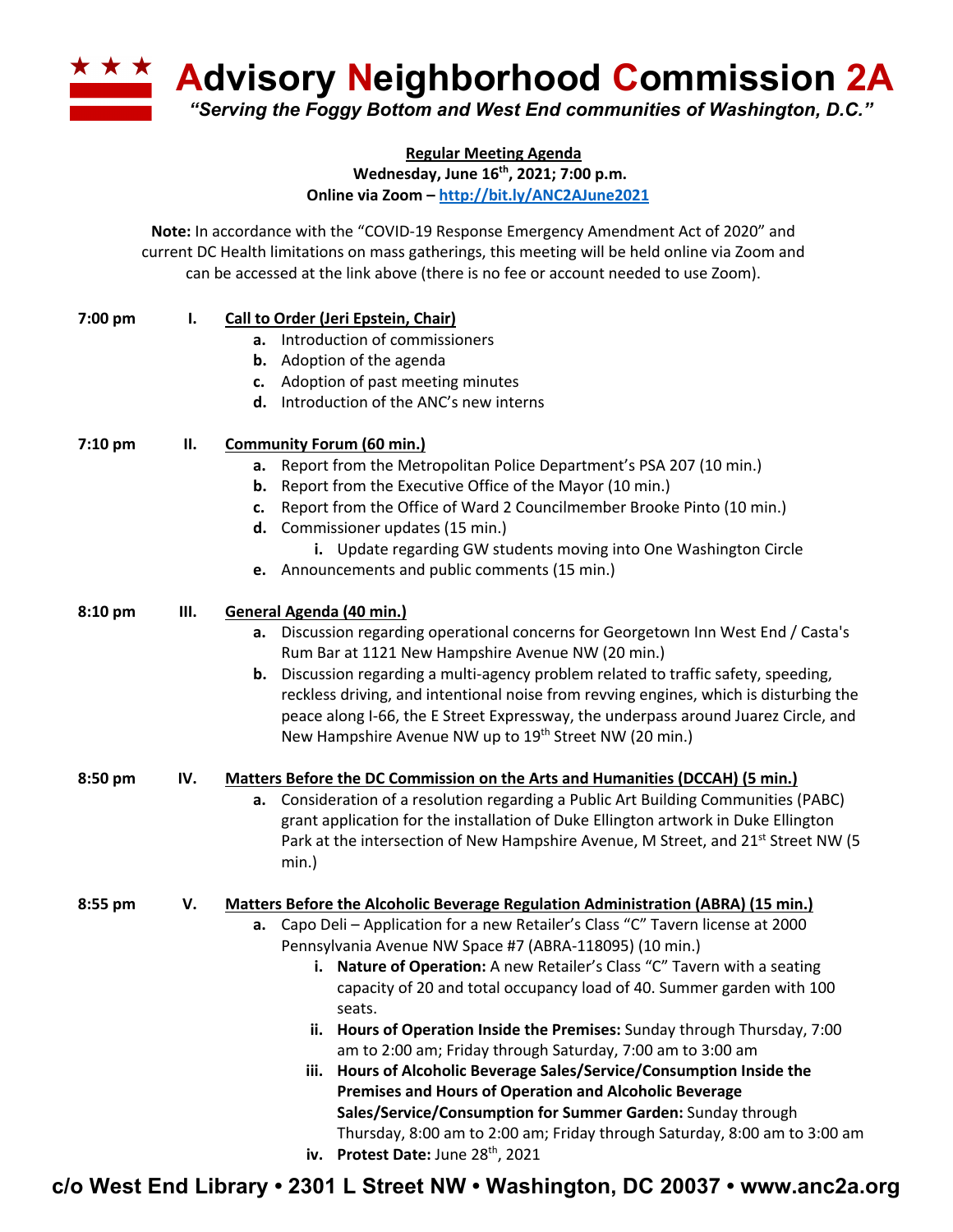**A Advisory Neighborhood Commission 2A** *"Serving the Foggy Bottom and West End communities of Washington, D.C."*

> **Regular Meeting Agenda Wednesday, June 16th, 2021; 7:00 p.m.**

**Online via Zoom – http://bit.ly/ANC2AJune2021**

**Note:** In accordance with the "COVID-19 Response Emergency Amendment Act of 2020" and current DC Health limitations on mass gatherings, this meeting will be held online via Zoom and can be accessed at the link above (there is no fee or account needed to use Zoom).

| 7:00 pm   | Ι.  | <b>Call to Order (Jeri Epstein, Chair)</b>                                                                                              |
|-----------|-----|-----------------------------------------------------------------------------------------------------------------------------------------|
|           |     | a. Introduction of commissioners                                                                                                        |
|           |     | <b>b.</b> Adoption of the agenda                                                                                                        |
|           |     | c. Adoption of past meeting minutes                                                                                                     |
|           |     | d. Introduction of the ANC's new interns                                                                                                |
| $7:10$ pm | П.  | <b>Community Forum (60 min.)</b>                                                                                                        |
|           |     | a. Report from the Metropolitan Police Department's PSA 207 (10 min.)                                                                   |
|           |     | <b>b.</b> Report from the Executive Office of the Mayor (10 min.)                                                                       |
|           |     | c. Report from the Office of Ward 2 Councilmember Brooke Pinto (10 min.)                                                                |
|           |     | d. Commissioner updates (15 min.)                                                                                                       |
|           |     | i. Update regarding GW students moving into One Washington Circle                                                                       |
|           |     | e. Announcements and public comments (15 min.)                                                                                          |
| 8:10 pm   | Ш.  | General Agenda (40 min.)                                                                                                                |
|           |     | a. Discussion regarding operational concerns for Georgetown Inn West End / Casta's<br>Rum Bar at 1121 New Hampshire Avenue NW (20 min.) |
|           |     | <b>b.</b> Discussion regarding a multi-agency problem related to traffic safety, speeding,                                              |
|           |     | reckless driving, and intentional noise from revving engines, which is disturbing the                                                   |
|           |     | peace along I-66, the E Street Expressway, the underpass around Juarez Circle, and                                                      |
|           |     | New Hampshire Avenue NW up to 19 <sup>th</sup> Street NW (20 min.)                                                                      |
| 8:50 pm   | IV. | Matters Before the DC Commission on the Arts and Humanities (DCCAH) (5 min.)                                                            |
|           |     | a. Consideration of a resolution regarding a Public Art Building Communities (PABC)                                                     |
|           |     | grant application for the installation of Duke Ellington artwork in Duke Ellington                                                      |
|           |     | Park at the intersection of New Hampshire Avenue, M Street, and 21 <sup>st</sup> Street NW (5                                           |
|           |     | min.)                                                                                                                                   |
| 8:55 pm   | V.  | <b>Matters Before the Alcoholic Beverage Regulation Administration (ABRA) (15 min.)</b>                                                 |
|           |     | Capo Deli - Application for a new Retailer's Class "C" Tavern license at 2000<br>а.                                                     |
|           |     | Pennsylvania Avenue NW Space #7 (ABRA-118095) (10 min.)                                                                                 |
|           |     | i. Nature of Operation: A new Retailer's Class "C" Tavern with a seating                                                                |
|           |     | capacity of 20 and total occupancy load of 40. Summer garden with 100                                                                   |
|           |     | seats.                                                                                                                                  |
|           |     | ii. Hours of Operation Inside the Premises: Sunday through Thursday, 7:00                                                               |
|           |     | am to 2:00 am; Friday through Saturday, 7:00 am to 3:00 am                                                                              |
|           |     | Hours of Alcoholic Beverage Sales/Service/Consumption Inside the<br>iii.                                                                |
|           |     | <b>Premises and Hours of Operation and Alcoholic Beverage</b>                                                                           |
|           |     | Sales/Service/Consumption for Summer Garden: Sunday through                                                                             |
|           |     | Thursday, 8:00 am to 2:00 am; Friday through Saturday, 8:00 am to 3:00 am                                                               |
|           |     | iv. Protest Date: June 28th, 2021                                                                                                       |

**c/o West End Library • 2301 L Street NW • Washington, DC 20037 • www.anc2a.org**